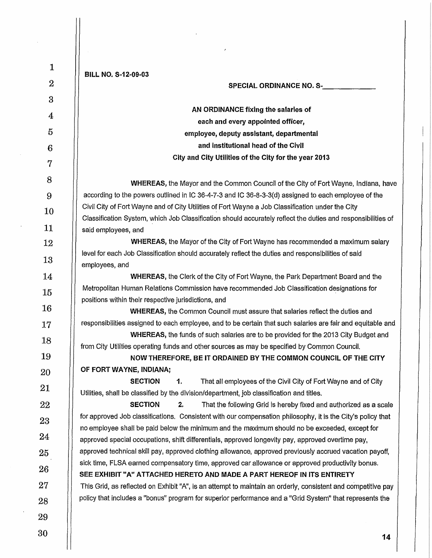| $\mathbf{1}$     | BILL NO. S-12-09-03                                                                                                                                                                                |
|------------------|----------------------------------------------------------------------------------------------------------------------------------------------------------------------------------------------------|
| $\boldsymbol{2}$ | <b>SPECIAL ORDINANCE NO. S-</b>                                                                                                                                                                    |
| 3                |                                                                                                                                                                                                    |
| 4                | AN ORDINANCE fixing the salaries of                                                                                                                                                                |
| 5                | each and every appointed officer,                                                                                                                                                                  |
|                  | employee, deputy assistant, departmental<br>and institutional head of the Civil                                                                                                                    |
| 6                | City and City Utilities of the City for the year 2013                                                                                                                                              |
| 7                |                                                                                                                                                                                                    |
| 8                | <b>WHEREAS</b> , the Mayor and the Common Council of the City of Fort Wayne, Indiana, have                                                                                                         |
| 9                | according to the powers outlined in IC 36-4-7-3 and IC 36-8-3-3(d) assigned to each employee of the                                                                                                |
| 10               | Civil City of Fort Wayne and of City Utilities of Fort Wayne a Job Classification under the City                                                                                                   |
| 11               | Classification System, which Job Classification should accurately reflect the duties and responsibilities of                                                                                       |
|                  | said employees, and<br><b>WHEREAS</b> , the Mayor of the City of Fort Wayne has recommended a maximum salary                                                                                       |
| 12               | level for each Job Classification should accurately reflect the duties and responsibilities of said                                                                                                |
| 13               | employees, and                                                                                                                                                                                     |
| 14               | WHEREAS, the Clerk of the City of Fort Wayne, the Park Department Board and the                                                                                                                    |
| 15               | Metropolitan Human Relations Commission have recommended Job Classification designations for                                                                                                       |
| 16               | positions within their respective jurisdictions, and                                                                                                                                               |
|                  | <b>WHEREAS, the Common Council must assure that salaries reflect the duties and</b><br>responsibilities assigned to each employee, and to be certain that such salaries are fair and equitable and |
| 17               | WHEREAS, the funds of such salaries are to be provided for the 2013 City Budget and                                                                                                                |
| 18               | from City Utilities operating funds and other sources as may be specified by Common Council.                                                                                                       |
| 19               | NOW THEREFORE, BE IT ORDAINED BY THE COMMON COUNCIL OF THE CITY                                                                                                                                    |
| 20               | OF FORT WAYNE, INDIANA;                                                                                                                                                                            |
| 21               | <b>SECTION</b><br>1.<br>That all employees of the Civil City of Fort Wayne and of City                                                                                                             |
| 22               | Utilities, shall be classified by the division/department, job classification and titles.<br><b>SECTION</b><br>2.<br>That the following Grid is hereby fixed and authorized as a scale             |
|                  | for approved Job classifications. Consistent with our compensation philosophy, it is the City's policy that                                                                                        |
| 23               | no employee shall be paid below the minimum and the maximum should no be exceeded, except for                                                                                                      |
| 24               | approved special occupations, shift differentials, approved longevity pay, approved overtime pay,                                                                                                  |
| 25               | approved technical skill pay, approved clothing allowance, approved previously accrued vacation payoff,                                                                                            |
| 26               | sick time, FLSA earned compensatory time, approved car allowance or approved productivity bonus.<br>SEE EXHIBIT "A" ATTACHED HERETO AND MADE A PART HEREOF IN ITS ENTIRETY                         |
| 27               | This Grid, as reflected on Exhibit "A", is an attempt to maintain an orderly, consistent and competitive pay                                                                                       |
| 28               | policy that includes a "bonus" program for superior performance and a "Grid System" that represents the                                                                                            |
|                  |                                                                                                                                                                                                    |
| 29               |                                                                                                                                                                                                    |
| 30               | 14                                                                                                                                                                                                 |

 $\vert$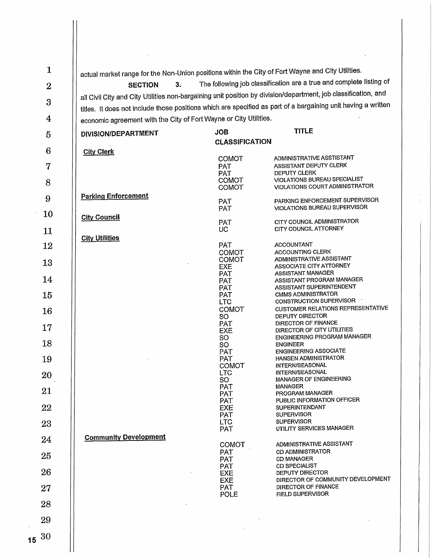| $\mathbf{1}$          | actual market range for the Non-Union positions within the City of Fort Wayne and City Utilities. |                                   |                                                                                                                                                                                       |
|-----------------------|---------------------------------------------------------------------------------------------------|-----------------------------------|---------------------------------------------------------------------------------------------------------------------------------------------------------------------------------------|
| $\boldsymbol{2}$      | 3.<br><b>SECTION</b>                                                                              |                                   | The following job classification are a true and complete listing of<br>all Civil City and City Utilities non-bargaining unit position by division/department, job classification, and |
| 3                     |                                                                                                   |                                   | titles. It does not include those positions which are specified as part of a bargaining unit having a written                                                                         |
| $\overline{4}$        | economic agreement with the City of Fort Wayne or City Utilities.                                 |                                   |                                                                                                                                                                                       |
| 5                     | DIVISION/DEPARTMENT                                                                               | <b>JOB</b>                        | <b>TITLE</b>                                                                                                                                                                          |
| 6                     | <b>City Clerk</b>                                                                                 | <b>CLASSIFICATION</b>             |                                                                                                                                                                                       |
| 7                     |                                                                                                   | <b>COMOT</b><br><b>PAT</b>        | ADMINISTRATIVE ASSTISTANT<br>ASSISTANT DEPUTY CLERK                                                                                                                                   |
| 8                     |                                                                                                   | <b>PAT</b><br><b>COMOT</b>        | DEPUTY CLERK<br><b>VIOLATIONS BUREAU SPECIALIST</b>                                                                                                                                   |
| 9                     | <b>Parking Enforcement</b>                                                                        | COMOT                             | VIOLATIONS COURT ADMINISTRATOR<br>PARKING ENFORCEMENT SUPERVISOR                                                                                                                      |
| 10                    |                                                                                                   | <b>PAT</b><br><b>PAT</b>          | VIOLATIONS BUREAU SUPERVISOR                                                                                                                                                          |
| 11                    | <b>City Council</b>                                                                               | <b>PAT</b><br>UC.                 | CITY COUNCIL ADMINISTRATOR<br>CITY COUNCIL ATTORNEY                                                                                                                                   |
| 12                    | <b>City Utilities</b>                                                                             | PAT                               | <b>ACCOUNTANT</b>                                                                                                                                                                     |
|                       |                                                                                                   | <b>COMOT</b><br>COMOT             | <b>ACCOUNTING CLERK</b><br>ADMINISTRATIVE ASSISTANT                                                                                                                                   |
| 13                    |                                                                                                   | <b>EXE</b><br><b>PAT</b>          | ASSOCIATE CITY ATTORNEY<br><b>ASSISTANT MANAGER</b>                                                                                                                                   |
| 14                    |                                                                                                   | <b>PAT</b><br><b>PAT</b>          | ASSISTANT PROGRAM MANAGER<br>ASSISTANT SUPERINTENDENT                                                                                                                                 |
| 15                    |                                                                                                   | PAT<br><b>LTC</b>                 | <b>CMMS ADMINISTRATOR</b><br>CONSTRUCTION SUPERVISOR                                                                                                                                  |
| 16                    |                                                                                                   | COMOT<br>SO <sub>1</sub>          | <b>CUSTOMER RELATIONS REPRESENTATIVE</b><br>DEPUTY DIRECTOR                                                                                                                           |
| 17                    |                                                                                                   | <b>PAT</b><br><b>EXE</b>          | DIRECTOR OF FINANCE<br>DIRECTOR OF CITY UTILITIES                                                                                                                                     |
| 18                    |                                                                                                   | SO.<br>SO.                        | <b>ENGINEERING PROGRAM MANAGER</b><br><b>ENGINEER</b><br><b>ENGINEERING ASSOCIATE</b>                                                                                                 |
| 19                    |                                                                                                   | PAT<br><b>PAT</b><br><b>COMOT</b> | HANSEN ADMINISTRATOR<br>INTERN/SEASONAL                                                                                                                                               |
| 20                    |                                                                                                   | <b>LTC</b><br>SO                  | INTERN/SEASONAL<br><b>MANAGER OF ENGINEERING</b>                                                                                                                                      |
| 21                    |                                                                                                   | PAT<br>PAT                        | MANAGER<br>PROGRAM MANAGER                                                                                                                                                            |
| 22                    |                                                                                                   | <b>PAT</b><br><b>EXE</b>          | PUBLIC INFORMATION OFFICER<br><b>SUPERINTENDANT</b>                                                                                                                                   |
| 23                    |                                                                                                   | PAT<br><b>LTC</b>                 | <b>SUPERVISOR</b><br><b>SUPERVISOR</b>                                                                                                                                                |
| 24                    | <b>Community Development</b>                                                                      | <b>PAT</b>                        | UTILITY SERVICES MANAGER                                                                                                                                                              |
| 25                    |                                                                                                   | COMOT<br><b>PAT</b>               | ADMINISTRATIVE ASSISTANT<br><b>CD ADMINISTRATOR</b>                                                                                                                                   |
|                       |                                                                                                   | <b>PAT</b><br><b>PAT</b>          | <b>CD MANAGER</b><br><b>CD SPECIALIST</b>                                                                                                                                             |
| 26                    |                                                                                                   | EXE<br><b>EXE</b>                 | <b>DEPUTY DIRECTOR</b><br>DIRECTOR OF COMMUNITY DEVELOPMENT<br>DIRECTOR OF FINANCE                                                                                                    |
| 27                    |                                                                                                   | <b>PAT</b><br>POLE                | <b>FIELD SUPERVISOR</b>                                                                                                                                                               |
| 28                    |                                                                                                   |                                   |                                                                                                                                                                                       |
| 29                    |                                                                                                   |                                   |                                                                                                                                                                                       |
| 30<br>15 <sub>1</sub> |                                                                                                   |                                   |                                                                                                                                                                                       |
|                       |                                                                                                   |                                   |                                                                                                                                                                                       |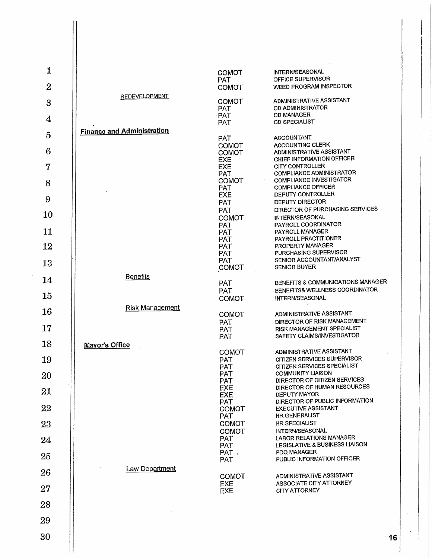| $\mathbf{1}$   |                                   |                                          |                                                                                        |
|----------------|-----------------------------------|------------------------------------------|----------------------------------------------------------------------------------------|
| $\overline{2}$ |                                   | <b>COMOT</b><br><b>PAT</b><br>COMOT      | INTERN/SEASONAL<br>OFFICE SUPERVISOR<br>WEED PROGRAM INSPECTOR                         |
| $\overline{3}$ | <b>REDEVELOPMENT</b>              | COMOT                                    | ADMINISTRATIVE ASSISTANT                                                               |
| 4              |                                   | <b>PAT</b><br>· PAT                      | <b>CD ADMINISTRATOR</b><br><b>CD MANAGER</b>                                           |
| $\overline{5}$ | <b>Finance and Administration</b> | <b>PAT</b>                               | <b>CD SPECIALIST</b>                                                                   |
|                |                                   | <b>PAT</b><br><b>COMOT</b>               | <b>ACCOUNTANT</b><br><b>ACCOUNTING CLERK</b>                                           |
| 6<br>7         |                                   | <b>COMOT</b><br><b>EXE</b><br><b>EXE</b> | ADMINISTRATIVE ASSISTANT<br>CHIEF INFORMATION OFFICER<br><b>CITY CONTROLLER</b>        |
|                |                                   | <b>PAT</b><br><b>COMOT</b>               | COMPLIANCE ADMINISTRATOR<br>COMPLIANCE INVESTIGATOR                                    |
| 8              |                                   | <b>PAT</b><br>EXE                        | <b>COMPLIANCE OFFICER</b><br>DEPUTY CONTROLLER                                         |
| 9<br>10        |                                   | <b>PAT</b><br>PAT                        | <b>DEPUTY DIRECTOR</b><br>DIRECTOR OF PURCHASING SERVICES                              |
|                |                                   | <b>COMOT</b><br><b>PAT</b>               | INTERN/SEASONAL<br>PAYROLL COORDINATOR                                                 |
| 11<br>12       |                                   | PAT<br><b>PAT</b><br><b>PAT</b>          | PAYROLL MANAGER<br>PAYROLL PRACTITIONER<br>PROPERTY MANAGER                            |
|                |                                   | <b>PAT</b><br><b>PAT</b>                 | PURCHASING SUPERVISOR<br>SENIOR ACCOUNTANT/ANALYST                                     |
| 13             | <b>Benefits</b>                   | COMOT                                    | <b>SENIOR BUYER</b>                                                                    |
| 14             |                                   | PAT<br><b>PAT</b>                        | BENEFITS & COMMUNICATIONS MANAGER<br>BENEFITS& WELLNESS COORDINATOR                    |
| 15             | Risk Management                   | <b>COMOT</b>                             | <b>INTERN/SEASONAL</b>                                                                 |
| 16             |                                   | COMOT<br><b>PAT</b>                      | ADMINISTRATIVE ASSISTANT<br>DIRECTOR OF RISK MANAGEMENT                                |
| 17             |                                   | <b>PAT</b><br><b>PAT</b>                 | RISK MANAGEMENT SPECIALIST<br>SAFETY CLAIMS/INVESTIGATOR                               |
| 18             | <b>Mayor's Office</b>             | <b>COMOT</b>                             | ADMINISTRATIVE ASSISTANT                                                               |
| 19             |                                   | <b>PAT</b><br><b>PAT</b><br><b>PAT</b>   | CITIZEN SERVICES SUPERVISOR<br>CITIZEN SERVICES SPECIALIST<br><b>COMMUNITY LIAISON</b> |
| 20             |                                   | <b>PAT</b><br><b>EXE</b>                 | DIRECTOR OF CITIZEN SERVICES<br>DIRECTOR OF HUMAN RESOURCES                            |
| 21             |                                   | <b>EXE</b><br><b>PAT</b>                 | DEPUTY MAYOR<br>DIRECTOR OF PUBLIC INFORMATION                                         |
| 22             |                                   | <b>COMOT</b><br><b>PAT</b>               | <b>EXECUTIVE ASSISTANT</b><br><b>HR GENERALIST</b>                                     |
| 23             |                                   | COMOT<br>COMOT                           | HR SPECIALIST<br>INTERN/SEASONAL                                                       |
| 24             |                                   | <b>PAT</b><br><b>PAT</b><br>PAT.         | LABOR RELATIONS MANAGER<br>LEGISLATIVE & BUSINESS LIAISON<br>PDQ MANAGER               |
| 25             |                                   | <b>PAT</b>                               | PUBLIC INFORMATION OFFICER                                                             |
| 26             | Law Department                    | COMOT<br><b>EXE</b>                      | ADMINISTRATIVE ASSISTANT<br>ASSOCIATE CITY ATTORNEY                                    |
| 27             |                                   | <b>EXE</b>                               | <b>CITY ATTORNEY</b>                                                                   |
| 28             |                                   |                                          |                                                                                        |
| 29             |                                   |                                          |                                                                                        |
| 30             |                                   |                                          |                                                                                        |
|                |                                   |                                          |                                                                                        |

 $\ddot{\phantom{0}}$ 

 $\ddot{\phantom{a}}$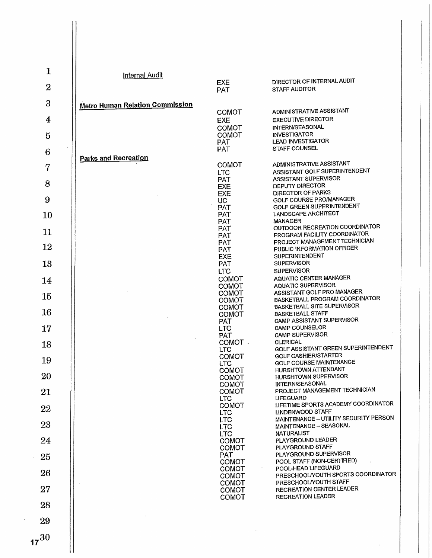| 1              | Internal Audit                         |                                       |                                                                              |
|----------------|----------------------------------------|---------------------------------------|------------------------------------------------------------------------------|
| $\overline{2}$ |                                        | <b>EXE</b><br><b>PAT</b>              | DIRECTOR OF INTERNAL AUDIT<br><b>STAFF AUDITOR</b>                           |
| 3              | <b>Metro Human Relation Commission</b> |                                       |                                                                              |
| 4              |                                        | <b>COMOT</b><br><b>EXE</b>            | ADMINISTRATIVE ASSISTANT<br><b>EXECUTIVE DIRECTOR</b>                        |
| 5              |                                        | COMOT<br><b>COMOT</b>                 | INTERN/SEASONAL<br><b>INVESTIGATOR</b><br><b>LEAD INVESTIGATOR</b>           |
| 6              |                                        | <b>PAT</b><br><b>PAT</b>              | <b>STAFF COUNSEL</b>                                                         |
| 7              | Parks and Recreation                   | COMOT<br><b>LTC</b>                   | ADMINISTRATIVE ASSISTANT<br>ASSISTANT GOLF SUPERINTENDENT                    |
| 8              |                                        | <b>PAT</b><br><b>EXE</b>              | ASSISTANT SUPERVISOR<br><b>DEPUTY DIRECTOR</b>                               |
| 9              |                                        | <b>EXE</b><br>UC.                     | DIRECTOR OF PARKS<br>GOLF COURSE PRO/MANAGER                                 |
| 10             |                                        | PAT<br><b>PAT</b><br><b>PAT</b>       | GOLF GREEN SUPERINTENDENT<br>LANDSCAPE ARCHITECT<br><b>MANAGER</b>           |
| 11             |                                        | <b>PAT</b><br><b>PAT</b>              | OUTDOOR RECREATION COORDINATOR<br>PROGRAM FACILITY COORDINATOR               |
| 12             |                                        | <b>PAT</b><br><b>PAT</b>              | PROJECT MANAGEMENT TECHNICIAN<br>PUBLIC INFORMATION OFFICER                  |
| 13             |                                        | EXE<br>PAT                            | <b>SUPERINTENDENT</b><br><b>SUPERVISOR</b>                                   |
| 14             |                                        | <b>LTC</b><br>COMOT                   | <b>SUPERVISOR</b><br>AQUATIC CENTER MANAGER<br><b>AQUATIC SUPERVISOR</b>     |
| 15             |                                        | <b>COMOT</b><br>COMOT<br><b>COMOT</b> | ASSISTANT GOLF PRO MANAGER<br>BASKETBALL PROGRAM COORDINATOR                 |
| 16             |                                        | COMOT<br>COMOT                        | <b>BASKETBALL SITE SUPERVISOR</b><br><b>BASKETBALL STAFF</b>                 |
| 17             |                                        | <b>PAT</b><br><b>LTC</b>              | CAMP ASSISTANT SUPERVISOR<br><b>CAMP COUNSELOR</b><br><b>CAMP SUPERVISOR</b> |
| 18             |                                        | <b>PAT</b><br>COMOT.<br><b>LTC</b>    | <b>CLERICAL</b><br>GOLF ASSISTANT GREEN SUPERINTENDENT                       |
| 19             |                                        | COMOT<br><b>LTC</b>                   | <b>GOLF CASHIER/STARTER</b><br>GOLF COURSE MAINTENANCE                       |
| 20             |                                        | <b>COMOT</b><br><b>COMOT</b>          | HURSHTOWN ATTENDANT<br><b>HURSHTOWN SUPERVISOR</b>                           |
| 21             |                                        | COMOT<br><b>COMOT</b><br><b>LTC</b>   | INTERN/SEASONAL<br>PROJECT MANAGEMENT TECHNICIAN<br><b>LIFEGUARD</b>         |
| 22             |                                        | COMOT<br><b>LTC</b>                   | LIFETIME SPORTS ACADEMY COORDINATOR<br>LINDENWOOD STAFF                      |
| 23             |                                        | <b>LTC</b><br><b>LTC</b>              | MAINTENANCE - UTILITY SECURITY PERSON<br>MAINTENANCE - SEASONAL              |
| 24             |                                        | <b>LTC</b><br>COMOT<br>COMOT          | <b>NATURALIST</b><br>PLAYGROUND LEADER<br>PLAYGROUND STAFF                   |
| 25             |                                        | <b>PAT</b><br>COMOT                   | PLAYGROUND SUPERVISOR<br>POOL STAFF (NON-CERTIFIED)                          |
| 26             |                                        | <b>COMOT</b><br><b>COMOT</b>          | POOL-HEAD LIFEGUARD<br>PRESCHOOL/YOUTH SPORTS COORDINATOR                    |
| 27             |                                        | <b>COMOT</b><br>COMOT                 | PRESCHOOL/YOUTH STAFF<br><b>RECREATION CENTER LEADER</b>                     |
| 28             |                                        | COMOT                                 | <b>RECREATION LEADER</b>                                                     |
| 29             |                                        |                                       |                                                                              |
| $7^{30}$       |                                        |                                       |                                                                              |
|                |                                        |                                       |                                                                              |

 $17^{30}$ 

 $\mathsf{I}$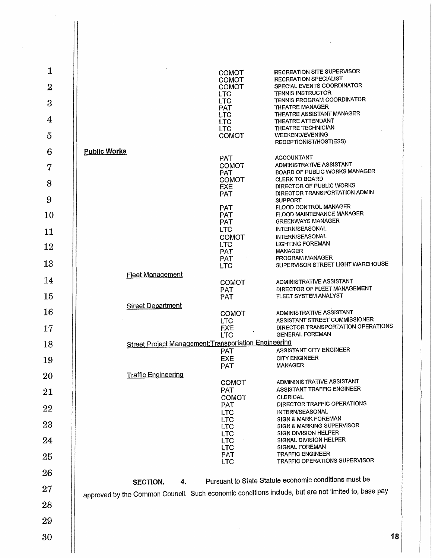| $\mathbf{1}$     |                                                              | <b>COMOT</b>                               | <b>RECREATION SITE SUPERVISOR</b>                                                                                                                           |
|------------------|--------------------------------------------------------------|--------------------------------------------|-------------------------------------------------------------------------------------------------------------------------------------------------------------|
| $\overline{2}$   |                                                              | <b>COMOT</b><br><b>COMOT</b><br><b>LTC</b> | RECREATION SPECIALIST<br>SPECIAL EVENTS COORDINATOR<br><b>TENNIS INSTRUCTOR</b>                                                                             |
| $\mathbf{3}$     |                                                              | <b>LTC</b><br><b>PAT</b>                   | TENNIS PROGRAM COORDINATOR<br>THEATRE MANAGER                                                                                                               |
| $\boldsymbol{4}$ |                                                              | <b>LTC</b><br><b>LTC</b>                   | THEATRE ASSISTANT MANAGER<br>THEATRE ATTENDANT<br>THEATRE TECHNICIAN                                                                                        |
| 5                |                                                              | <b>LTC</b><br><b>COMOT</b>                 | <b>WEEKEND/EVENING</b><br>RECEPTIONIST/HOST(ESS)                                                                                                            |
| 6                | <b>Public Works</b>                                          | <b>PAT</b>                                 | <b>ACCOUNTANT</b>                                                                                                                                           |
| $\overline{7}$   |                                                              | <b>COMOT</b><br><b>PAT</b>                 | ADMINISTRATIVE ASSISTANT<br>BOARD OF PUBLIC WORKS MANAGER                                                                                                   |
| 8                |                                                              | COMOT<br>EXE                               | <b>CLERK TO BOARD</b><br>DIRECTOR OF PUBLIC WORKS                                                                                                           |
| 9                |                                                              | PAT<br><b>PAT</b>                          | DIRECTOR TRANSPORTATION ADMIN<br><b>SUPPORT</b><br>FLOOD CONTROL MANAGER                                                                                    |
| 10               |                                                              | <b>PAT</b><br>PAT                          | FLOOD MAINTENANCE MANAGER<br><b>GREENWAYS MANAGER</b>                                                                                                       |
| 11               |                                                              | <b>LTC</b><br><b>COMOT</b>                 | INTERN/SEASONAL<br>INTERN/SEASONAL                                                                                                                          |
| 12               |                                                              | <b>LTC</b><br>PAT                          | <b>LIGHTING FOREMAN</b><br><b>MANAGER</b>                                                                                                                   |
| 13               |                                                              | PAT.<br><b>LTC</b>                         | <b>PROGRAM MANAGER</b><br>SUPERVISOR STREET LIGHT WAREHOUSE                                                                                                 |
| 14               | <b>Fleet Management</b>                                      | COMOT                                      | ADMINISTRATIVE ASSISTANT                                                                                                                                    |
| 15               |                                                              | <b>PAT</b><br>PAT                          | DIRECTOR OF FLEET MANAGEMENT<br>FLEET SYSTEM ANALYST                                                                                                        |
| 16               | <b>Street Department</b>                                     | COMOT                                      | ADMINISTRATIVE ASSISTANT<br>ASSISTANT STREET COMMISSIONER                                                                                                   |
| 17               |                                                              | <b>LTC</b><br><b>EXE</b><br>LTC            | DIRECTOR TRANSPORTATION OPERATIONS<br><b>GENERAL FOREMAN</b>                                                                                                |
| 18               | <b>Street Project Management; Transportation Engineering</b> | <b>PAT</b>                                 | ASSISTANT CITY ENGINEER                                                                                                                                     |
| 19               |                                                              | EXE<br><b>PAT</b>                          | <b>CITY ENGINEER</b><br>MANAGER                                                                                                                             |
| 20               | <b>Traffic Engineering</b>                                   | <b>COMOT</b>                               | ADMININISTRATIVE ASSISTANT                                                                                                                                  |
| 21               |                                                              | <b>PAT</b><br>COMOT                        | <b>ASSISTANT TRAFFIC ENGINEER</b><br><b>CLERICAL</b>                                                                                                        |
| 22               |                                                              | <b>PAT</b><br><b>LTC</b>                   | DIRECTOR TRAFFIC OPERATIONS<br>INTERN/SEASONAL                                                                                                              |
| 23               |                                                              | <b>LTC</b><br><b>LTC</b>                   | SIGN & MARK FOREMAN<br><b>SIGN &amp; MARKING SUPERVISOR</b>                                                                                                 |
| 24               |                                                              | <b>LTC</b><br><b>LTC</b>                   | SIGN DIVISION HELPER<br>SIGNAL DIVISION HELPER<br>SIGNAL FOREMAN                                                                                            |
| 25               |                                                              | <b>LTC</b><br><b>PAT</b><br><b>LTC</b>     | <b>TRAFFIC ENGINEER</b><br>TRAFFIC OPERATIONS SUPERVISOR                                                                                                    |
| 26               |                                                              |                                            |                                                                                                                                                             |
| 27               | SECTION.<br>4.                                               |                                            | Pursuant to State Statute economic conditions must be<br>approved by the Common Council. Such economic conditions include, but are not limited to, base pay |
| 28               |                                                              |                                            |                                                                                                                                                             |
| 29               |                                                              |                                            |                                                                                                                                                             |
| 30               |                                                              |                                            | 18                                                                                                                                                          |

 $\mathbf{||}$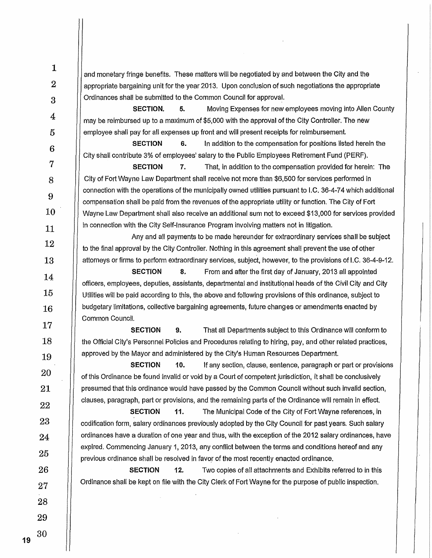| $\mathbf{1}$     | and monetary fringe benefits. These matters will be negotiated by and between the City and the                                                                                                                  |
|------------------|-----------------------------------------------------------------------------------------------------------------------------------------------------------------------------------------------------------------|
| $\boldsymbol{2}$ | appropriate bargaining unit for the year 2013. Upon conclusion of such negotiations the appropriate                                                                                                             |
| 3                | Ordinances shall be submitted to the Common Council for approval.                                                                                                                                               |
|                  | Moving Expenses for new employees moving into Allen County<br>SECTION.<br>5.                                                                                                                                    |
| 4                | may be reimbursed up to a maximum of \$5,000 with the approval of the City Controller. The new                                                                                                                  |
| $\overline{5}$   | employee shall pay for all expenses up front and will present receipts for reimbursement.                                                                                                                       |
| $\bf 6$          | In addition to the compensation for positions listed herein the<br><b>SECTION</b><br>6.<br>City shall contribute 3% of employees' salary to the Public Employees Retirement Fund (PERF).                        |
| $\overline{7}$   | <b>SECTION</b><br>7.<br>That, in addition to the compensation provided for herein: The                                                                                                                          |
| 8                | City of Fort Wayne Law Department shall receive not more than \$6,500 for services performed in                                                                                                                 |
| $\boldsymbol{9}$ | connection with the operations of the municipally owned utilities pursuant to I.C. 36-4-74 which additional                                                                                                     |
|                  | compensation shall be paid from the revenues of the appropriate utility or function. The City of Fort                                                                                                           |
| 10               | Wayne Law Department shall also receive an additional sum not to exceed \$13,000 for services provided<br>in connection with the City Self-Insurance Program involving matters not in litigation.               |
| 11               | Any and all payments to be made hereunder for extraordinary services shall be subject                                                                                                                           |
| 12               | to the final approval by the City Controller. Nothing in this agreement shall prevent the use of other                                                                                                          |
| 13               | attorneys or firms to perform extraordinary services, subject, however, to the provisions of I.C. 36-4-9-12.                                                                                                    |
| 14               | <b>SECTION</b><br>8.<br>From and after the first day of January, 2013 all appointed                                                                                                                             |
| 15               | officers, employees, deputies, assistants, departmental and institutional heads of the Civil City and City                                                                                                      |
|                  | Utilities will be paid according to this, the above and following provisions of this ordinance, subject to<br>budgetary limitations, collective bargaining agreements, future changes or amendments enacted by  |
| 16               | Common Council.                                                                                                                                                                                                 |
| 17               | <b>SECTION</b><br>9.<br>That all Departments subject to this Ordinance will conform to                                                                                                                          |
| 18               | the Official City's Personnel Policies and Procedures relating to hiring, pay, and other related practices,                                                                                                     |
| 19               | approved by the Mayor and administered by the City's Human Resources Department.                                                                                                                                |
| 20               | <b>SECTION</b><br>10.<br>If any section, clause, sentence, paragraph or part or provisions                                                                                                                      |
| 21               | of this Ordinance be found invalid or void by a Court of competent jurisdiction, it shall be conclusively<br>presumed that this ordinance would have passed by the Common Council without such invalid section, |
|                  | clauses, paragraph, part or provisions, and the remaining parts of the Ordinance will remain in effect.                                                                                                         |
| 22               | 11.<br><b>SECTION</b><br>The Municipal Code of the City of Fort Wayne references, in                                                                                                                            |
| 23               | codification form, salary ordinances previously adopted by the City Council for past years. Such salary                                                                                                         |
| 24               | ordinances have a duration of one year and thus, with the exception of the 2012 salary ordinances, have                                                                                                         |
| 25               | expired. Commencing January 1, 2013, any conflict between the terms and conditions hereof and any<br>previous ordinance shall be resolved in favor of the most recently enacted ordinance.                      |
| 26               | <b>SECTION</b><br>12.<br>Two copies of all attachments and Exhibits referred to in this                                                                                                                         |
| 27               | Ordinance shall be kept on file with the City Clerk of Fort Wayne for the purpose of public inspection.                                                                                                         |
| 28               |                                                                                                                                                                                                                 |
| 29               |                                                                                                                                                                                                                 |
|                  |                                                                                                                                                                                                                 |
| 30               |                                                                                                                                                                                                                 |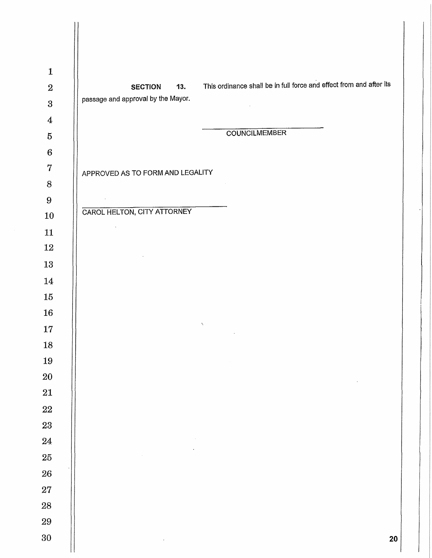| <b>SECTION</b><br>13.<br>passage and approval by the Mayor. | This ordinance shall be in full force and effect from and after its |
|-------------------------------------------------------------|---------------------------------------------------------------------|
|                                                             |                                                                     |
|                                                             | <b>COUNCILMEMBER</b>                                                |
|                                                             |                                                                     |
| APPROVED AS TO FORM AND LEGALITY                            |                                                                     |
|                                                             | $\sim$                                                              |
| $\mathbb{Z}^2$                                              |                                                                     |
| <b>CAROL HELTON, CITY ATTORNEY</b>                          |                                                                     |
| $\sim$                                                      |                                                                     |
|                                                             |                                                                     |
|                                                             |                                                                     |
|                                                             |                                                                     |
|                                                             |                                                                     |
|                                                             | $\mathcal{N}$                                                       |
|                                                             | $\cdot$                                                             |
|                                                             |                                                                     |
|                                                             |                                                                     |
|                                                             |                                                                     |
|                                                             |                                                                     |
|                                                             |                                                                     |
|                                                             |                                                                     |
|                                                             |                                                                     |
|                                                             |                                                                     |
|                                                             |                                                                     |
|                                                             |                                                                     |
|                                                             |                                                                     |
|                                                             |                                                                     |
| $\bullet$                                                   | 20                                                                  |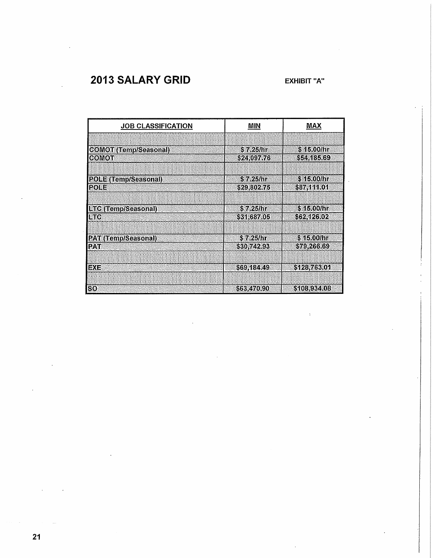### **2013 SALARY GRID EXHIBIT "A"**

| <b>JOB CLASSIFICATION</b>    | MIN         | MAX          |
|------------------------------|-------------|--------------|
|                              |             |              |
| <b>COMOT (Temp/Seasonal)</b> | \$7.25/hr   | \$15.00/hr   |
| <b>COMOT</b>                 | \$24,097.76 | \$54,185.69  |
|                              |             |              |
| POLE (Temp/Seasonal)         | S 7.25/hr   | \$15.00/hr   |
| <b>POLE</b>                  | \$29,802.75 | \$87,111.01  |
|                              |             |              |
| <b>LTC (Temp/Seasonal)</b>   | \$7.25/hr   | \$45.00/hr   |
| <b>LTC</b>                   | \$31,687.05 | \$62,126.02  |
|                              |             |              |
| <b>PAT (Temp/Seasonal)</b>   | \$7.25/hr   | \$15.00/hr   |
| <b>PAT</b>                   | \$30,742.93 | \$79,266.69  |
|                              |             |              |
| <b>EXE</b>                   | \$69,184.49 | \$128,763.01 |
|                              |             |              |
| <b>SO</b>                    | \$63,470,90 | \$108,934.08 |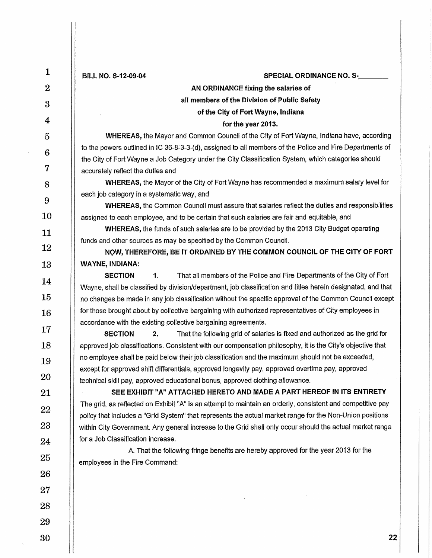| $\mathbf{1}$     | BILL NO. S-12-09-04<br>SPECIAL ORDINANCE NO. S-                                                                                                                       |
|------------------|-----------------------------------------------------------------------------------------------------------------------------------------------------------------------|
| $\boldsymbol{2}$ | AN ORDINANCE fixing the salaries of                                                                                                                                   |
| 3                | all members of the Division of Public Safety                                                                                                                          |
| 4                | of the City of Fort Wayne, Indiana                                                                                                                                    |
| 5                | for the year 2013.<br>WHEREAS, the Mayor and Common Council of the City of Fort Wayne, Indiana have, according                                                        |
|                  | to the powers outlined in IC 36-8-3-3-(d), assigned to all members of the Police and Fire Departments of                                                              |
| 6                | the City of Fort Wayne a Job Category under the City Classification System, which categories should                                                                   |
| 7                | accurately reflect the duties and                                                                                                                                     |
| 8                | WHEREAS, the Mayor of the City of Fort Wayne has recommended a maximum salary level for                                                                               |
| 9                | each job category in a systematic way, and<br><b>WHEREAS, the Common Council must assure that salaries reflect the duties and responsibilities</b>                    |
| 10               | assigned to each employee, and to be certain that such salaries are fair and equitable, and                                                                           |
| 11               | <b>WHEREAS</b> , the funds of such salaries are to be provided by the 2013 City Budget operating                                                                      |
| 12               | funds and other sources as may be specified by the Common Council.                                                                                                    |
| 13               | NOW, THEREFORE, BE IT ORDAINED BY THE COMMON COUNCIL OF THE CITY OF FORT<br><b>WAYNE, INDIANA:</b>                                                                    |
|                  | <b>SECTION</b><br>1.<br>That all members of the Police and Fire Departments of the City of Fort                                                                       |
| 14               | Wayne, shall be classified by division/department, job classification and titles herein designated, and that                                                          |
| 15               | no changes be made in any job classification without the specific approval of the Common Council except                                                               |
| 16               | for those brought about by collective bargaining with authorized representatives of City employees in                                                                 |
| 17               | accordance with the existing collective bargaining agreements.<br>That the following grid of salaries is fixed and authorized as the grid for<br><b>SECTION</b><br>2. |
| 18               | approved job classifications. Consistent with our compensation philosophy, it is the City's objective that                                                            |
| 19               | no employee shall be paid below their job classification and the maximum should not be exceeded,                                                                      |
| 20               | except for approved shift differentials, approved longevity pay, approved overtime pay, approved                                                                      |
| 21               | technical skill pay, approved educational bonus, approved clothing allowance.<br>SEE EXHIBIT "A" ATTACHED HERETO AND MADE A PART HEREOF IN ITS ENTIRETY               |
|                  | The grid, as reflected on Exhibit "A" is an attempt to maintain an orderly, consistent and competitive pay                                                            |
| 22               | policy that includes a "Grid System" that represents the actual market range for the Non-Union positions                                                              |
| 23               | within City Government. Any general increase to the Grid shall only occur should the actual market range                                                              |
| 24               | for a Job Classification increase.                                                                                                                                    |
| 25               | A. That the following fringe benefits are hereby approved for the year 2013 for the<br>employees in the Fire Command:                                                 |
| 26               |                                                                                                                                                                       |
| 27               |                                                                                                                                                                       |
| 28               |                                                                                                                                                                       |
|                  |                                                                                                                                                                       |
| 29               |                                                                                                                                                                       |
| 30               | 22                                                                                                                                                                    |
|                  |                                                                                                                                                                       |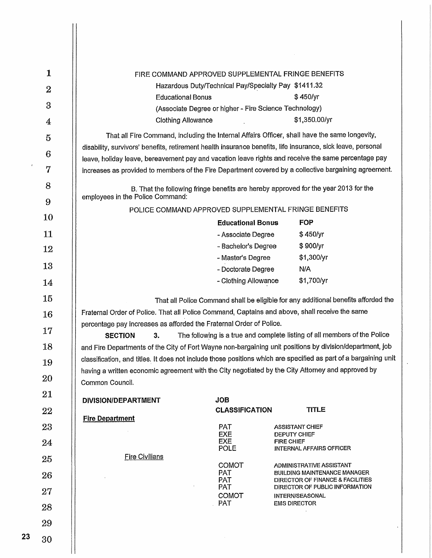| 1                | FIRE COMMAND APPROVED SUPPLEMENTAL FRINGE BENEFITS                                                                                                                                                                 |                                                                                                   |  |  |
|------------------|--------------------------------------------------------------------------------------------------------------------------------------------------------------------------------------------------------------------|---------------------------------------------------------------------------------------------------|--|--|
| $\boldsymbol{2}$ | Hazardous Duty/Technical Pay/Specialty Pay \$1411.32                                                                                                                                                               |                                                                                                   |  |  |
| 3                | <b>Educational Bonus</b>                                                                                                                                                                                           | \$450/yr                                                                                          |  |  |
|                  | (Associate Degree or higher - Fire Science Technology)                                                                                                                                                             |                                                                                                   |  |  |
| 4                | <b>Clothing Allowance</b>                                                                                                                                                                                          | \$1,350.00/yr                                                                                     |  |  |
| 5                | That all Fire Command, including the Internal Affairs Officer, shall have the same longevity,                                                                                                                      |                                                                                                   |  |  |
| 6                | disability, survivors' benefits, retirement health insurance benefits, life insurance, sick leave, personal<br>leave, holiday leave, bereavement pay and vacation leave rights and receive the same percentage pay |                                                                                                   |  |  |
| 7                | increases as provided to members of the Fire Department covered by a collective bargaining agreement.                                                                                                              |                                                                                                   |  |  |
| 8                |                                                                                                                                                                                                                    |                                                                                                   |  |  |
|                  | B. That the following fringe benefits are hereby approved for the year 2013 for the<br>employees in the Police Command:                                                                                            |                                                                                                   |  |  |
| 9                | POLICE COMMAND APPROVED SUPPLEMENTAL FRINGE BENEFITS                                                                                                                                                               |                                                                                                   |  |  |
| 10               | <b>Educational Bonus</b><br><b>FOP</b>                                                                                                                                                                             |                                                                                                   |  |  |
| 11               | - Associate Degree                                                                                                                                                                                                 | \$450/yr                                                                                          |  |  |
| 12               | - Bachelor's Degree                                                                                                                                                                                                | \$900/yr                                                                                          |  |  |
| 13               | - Master's Degree                                                                                                                                                                                                  | \$1,300/yr                                                                                        |  |  |
|                  | N/A<br>- Doctorate Degree                                                                                                                                                                                          |                                                                                                   |  |  |
| 14               | - Clothing Allowance                                                                                                                                                                                               | \$1,700/yr                                                                                        |  |  |
| 15               | That all Police Command shall be eligible for any additional benefits afforded the                                                                                                                                 |                                                                                                   |  |  |
| 16               | Fraternal Order of Police. That all Police Command, Captains and above, shall receive the same                                                                                                                     |                                                                                                   |  |  |
| 17               | percentage pay increases as afforded the Fraternal Order of Police.                                                                                                                                                |                                                                                                   |  |  |
| 18               | The following is a true and complete listing of all members of the Police<br><b>SECTION</b><br>3.<br>and Fire Departments of the City of Fort Wayne non-bargaining unit positions by division/department, job      |                                                                                                   |  |  |
|                  | classification, and titles. It does not include those positions which are specified as part of a bargaining unit                                                                                                   |                                                                                                   |  |  |
| 19               |                                                                                                                                                                                                                    | having a written economic agreement with the City negotiated by the City Attorney and approved by |  |  |
| 20               | Common Council.                                                                                                                                                                                                    |                                                                                                   |  |  |
| 21               | <b>JOB</b><br>DIVISION/DEPARTMENT                                                                                                                                                                                  |                                                                                                   |  |  |
| 22               | <b>CLASSIFICATION</b>                                                                                                                                                                                              | <b>TITLE</b>                                                                                      |  |  |
| 23               | <b>Fire Department</b><br>PAT<br><b>ASSISTANT CHIEF</b>                                                                                                                                                            |                                                                                                   |  |  |
|                  | <b>EXE</b><br><b>DEPUTY CHIEF</b><br><b>EXE</b><br><b>FIRE CHIEF</b>                                                                                                                                               |                                                                                                   |  |  |
| 24               | POLE                                                                                                                                                                                                               | <b>INTERNAL AFFAIRS OFFICER</b>                                                                   |  |  |
| 25               | <b>Fire Civilians</b><br>COMOT                                                                                                                                                                                     | ADMINISTRATIVE ASSISTANT                                                                          |  |  |
| 26               | <b>PAT</b><br><b>PAT</b>                                                                                                                                                                                           | <b>BUILDING MAINTENANCE MANAGER</b><br>DIRECTOR OF FINANCE & FACILITIES                           |  |  |
| 27               | <b>PAT</b><br><b>COMOT</b><br>INTERN/SEASONAL                                                                                                                                                                      | DIRECTOR OF PUBLIC INFORMATION                                                                    |  |  |
| 28               | <b>PAT</b><br><b>EMS DIRECTOR</b>                                                                                                                                                                                  |                                                                                                   |  |  |
| 29               |                                                                                                                                                                                                                    |                                                                                                   |  |  |
|                  |                                                                                                                                                                                                                    |                                                                                                   |  |  |
| 30               |                                                                                                                                                                                                                    |                                                                                                   |  |  |
|                  |                                                                                                                                                                                                                    |                                                                                                   |  |  |

 $\ddot{\phantom{0}}$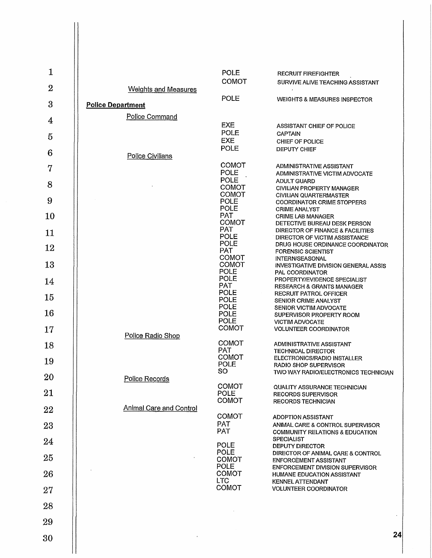| $\mathbf{1}$   |                                | <b>POLE</b>                                 | <b>RECRUIT FIREFIGHTER</b>                                                                    |
|----------------|--------------------------------|---------------------------------------------|-----------------------------------------------------------------------------------------------|
| $\overline{2}$ | <b>Weights and Measures</b>    | <b>COMOT</b>                                | SURVIVE ALIVE TEACHING ASSISTANT                                                              |
| 3              | <b>Police Department</b>       | POLE                                        | WEIGHTS & MEASURES INSPECTOR                                                                  |
| 4              | Police Command                 | <b>EXE</b>                                  |                                                                                               |
| 5              |                                | <b>POLE</b><br><b>EXE</b>                   | ASSISTANT CHIEF OF POLICE<br><b>CAPTAIN</b>                                                   |
| 6              |                                | <b>POLE</b>                                 | CHIEF OF POLICE<br>DEPUTY CHIEF                                                               |
| $\overline{7}$ | Police Civilians               | COMOT                                       | ADMINISTRATIVE ASSISTANT                                                                      |
| 8              |                                | <b>POLE</b><br>POLE                         | ADMINISTRATIVE VICTIM ADVOCATE<br><b>ADULT GUARD</b>                                          |
| 9              |                                | <b>COMOT</b><br><b>COMOT</b><br><b>POLE</b> | CIVILIAN PROPERTY MANAGER<br>CIVILIAN QUARTERMASTER                                           |
| 10             |                                | POLE<br><b>PAT</b>                          | <b>COORDINATOR CRIME STOPPERS</b><br><b>CRIME ANALYST</b><br><b>CRIME LAB MANAGER</b>         |
| 11             |                                | COMOT<br><b>PAT</b>                         | DETECTIVE BUREAU DESK PERSON<br>DIRECTOR OF FINANCE & FACILITIES                              |
| 12             |                                | <b>POLE</b><br><b>POLE</b>                  | DIRECTOR OF VICTIM ASSISTANCE<br>DRUG HOUSE ORDINANCE COORDINATOR                             |
|                |                                | <b>PAT</b><br><b>COMOT</b>                  | <b>FORENSIC SCIENTIST</b><br><b>INTERN/SEASONAL</b>                                           |
| 13             |                                | <b>COMOT</b><br><b>POLE</b><br>POLE         | <b>INVESTIGATIVE DIVISION GENERAL ASSIS</b><br>PAL COORDINATOR                                |
| 14             |                                | <b>PAT</b><br><b>POLE</b>                   | PROPERTY/EVIDENCE SPECIALIST<br>RESEARCH & GRANTS MANAGER<br>RECRUIT PATROL OFFICER           |
| 15             |                                | <b>POLE</b><br><b>POLE</b>                  | SENIOR CRIME ANALYST<br>SENIOR VICTIM ADVOCATE                                                |
| 16             |                                | POLE<br><b>POLE</b>                         | SUPERVISOR PROPERTY ROOM<br><b>VICTIM ADVOCATE</b>                                            |
| 17             | Police Radio Shop              | <b>COMOT</b>                                | <b>VOLUNTEER COORDINATOR</b>                                                                  |
| 18             |                                | <b>COMOT</b><br><b>PAT</b>                  | ADMINISTRATIVE ASSISTANT<br><b>TECHNICAL DIRECTOR</b>                                         |
| 19             |                                | <b>COMOT</b><br><b>POLE</b>                 | ELECTRONICS/RADIO INSTALLER<br>RADIO SHOP SUPERVISOR                                          |
| 20             | Police Records                 | 8O                                          | TWO WAY RADIO/ELECTRONICS TECHNICIAN                                                          |
| 21             |                                | <b>COMOT</b><br><b>POLE</b><br>COMOT        | <b>QUALITY ASSURANCE TECHNICIAN</b><br><b>RECORDS SUPERVISOR</b><br><b>RECORDS TECHNICIAN</b> |
| 22             | <b>Animal Care and Control</b> | <b>COMOT</b>                                |                                                                                               |
| 23             |                                | <b>PAT</b><br><b>PAT</b>                    | <b>ADOPTION ASSISTANT</b><br>ANIMAL CARE & CONTROL SUPERVISOR                                 |
| 24             |                                | <b>POLE</b>                                 | <b>COMMUNITY RELATIONS &amp; EDUCATION</b><br><b>SPECIALIST</b><br><b>DEPUTY DIRECTOR</b>     |
| 25             |                                | <b>POLE</b><br><b>COMOT</b>                 | DIRECTOR OF ANIMAL CARE & CONTROL<br><b>ENFORCEMENT ASSISTANT</b>                             |
| 26             |                                | <b>POLE</b><br><b>COMOT</b>                 | <b>ENFORCEMENT DIVISION SUPERVISOR</b><br><b>HUMANE EDUCATION ASSISTANT</b>                   |
| 27             |                                | <b>LTC</b><br><b>COMOT</b>                  | <b>KENNEL ATTENDANT</b><br><b>VOLUNTEER COORDINATOR</b>                                       |
| 28             |                                |                                             |                                                                                               |
| 29             |                                |                                             |                                                                                               |
| 30             |                                |                                             | 24                                                                                            |
|                |                                |                                             |                                                                                               |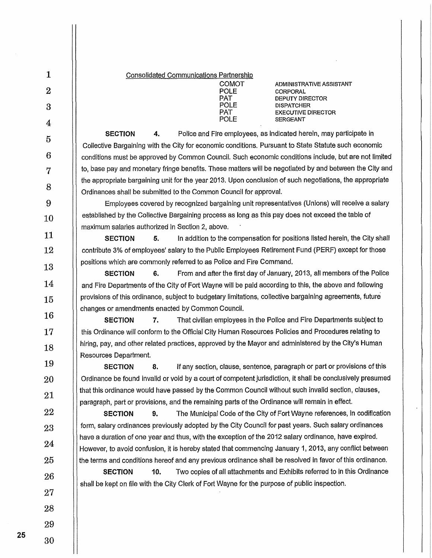| $\mathbf{1}$     | <b>Consolidated Communications Partnership</b>                                                                                                                                                                  |  |  |
|------------------|-----------------------------------------------------------------------------------------------------------------------------------------------------------------------------------------------------------------|--|--|
| $\boldsymbol{2}$ | <b>COMOT</b><br>ADMINISTRATIVE ASSISTANT<br>POLE<br>CORPORAL                                                                                                                                                    |  |  |
| 3                | <b>PAT</b><br><b>DEPUTY DIRECTOR</b><br><b>POLE</b><br><b>DISPATCHER</b><br><b>PAT</b><br><b>EXECUTIVE DIRECTOR</b>                                                                                             |  |  |
| $\overline{4}$   | POLE<br><b>SERGEANT</b>                                                                                                                                                                                         |  |  |
| $\overline{5}$   | <b>SECTION</b><br>Police and Fire employees, as indicated herein, may participate in<br>4.                                                                                                                      |  |  |
| 6                | Collective Bargaining with the City for economic conditions. Pursuant to State Statute such economic                                                                                                            |  |  |
|                  | conditions must be approved by Common Council. Such economic conditions include, but are not limited<br>to, base pay and monetary fringe benefits. These matters will be negotiated by and between the City and |  |  |
| 7                | the appropriate bargaining unit for the year 2013. Upon conclusion of such negotiations, the appropriate                                                                                                        |  |  |
| 8                | Ordinances shall be submitted to the Common Council for approval.                                                                                                                                               |  |  |
| 9                | Employees covered by recognized bargaining unit representatives (Unions) will receive a salary                                                                                                                  |  |  |
| 10               | established by the Collective Bargaining process as long as this pay does not exceed the table of                                                                                                               |  |  |
| 11               | maximum salaries authorized in Section 2, above.                                                                                                                                                                |  |  |
|                  | In addition to the compensation for positions listed herein, the City shall<br><b>SECTION</b><br>5.                                                                                                             |  |  |
| 12               | contribute 3% of employees' salary to the Public Employees Retirement Fund (PERF) except for those                                                                                                              |  |  |
| 13               | positions which are commonly referred to as Police and Fire Command.<br>From and after the first day of January, 2013, all members of the Police<br><b>SECTION</b><br>6.                                        |  |  |
| 14               | and Fire Departments of the City of Fort Wayne will be paid according to this, the above and following                                                                                                          |  |  |
| 15               | provisions of this ordinance, subject to budgetary limitations, collective bargaining agreements, future                                                                                                        |  |  |
| 16               | changes or amendments enacted by Common Council.                                                                                                                                                                |  |  |
|                  | <b>SECTION</b><br>7.<br>That civilian employees in the Police and Fire Departments subject to                                                                                                                   |  |  |
| 17               | this Ordinance will conform to the Official City Human Resources Policies and Procedures relating to                                                                                                            |  |  |
| 18               | hiring, pay, and other related practices, approved by the Mayor and administered by the City's Human<br>Resources Department.                                                                                   |  |  |
| 19               | If any section, clause, sentence, paragraph or part or provisions of this<br><b>SECTION</b><br>8.                                                                                                               |  |  |
| 20               | Ordinance be found invalid or void by a court of competent jurisdiction, it shall be conclusively presumed                                                                                                      |  |  |
| 21               | that this ordinance would have passed by the Common Council without such invalid section, clauses,<br>paragraph, part or provisions, and the remaining parts of the Ordinance will remain in effect.            |  |  |
| 22               | The Municipal Code of the City of Fort Wayne references, in codification<br><b>SECTION</b><br>9.                                                                                                                |  |  |
| 23               | form, salary ordinances previously adopted by the City Council for past years. Such salary ordinances                                                                                                           |  |  |
| 24               | have a duration of one year and thus, with the exception of the 2012 salary ordinance, have expired.<br>However, to avoid confusion, it is hereby stated that commencing January 1, 2013, any conflict between  |  |  |
| 25               | the terms and conditions hereof and any previous ordinance shall be resolved in favor of this ordinance.                                                                                                        |  |  |
| 26               | Two copies of all attachments and Exhibits referred to in this Ordinance<br><b>SECTION</b><br>10.                                                                                                               |  |  |
| 27               | shall be kept on file with the City Clerk of Fort Wayne for the purpose of public inspection.                                                                                                                   |  |  |
| 28               |                                                                                                                                                                                                                 |  |  |
| 29               |                                                                                                                                                                                                                 |  |  |
| 30               |                                                                                                                                                                                                                 |  |  |
|                  |                                                                                                                                                                                                                 |  |  |

 $\mathsf{I}$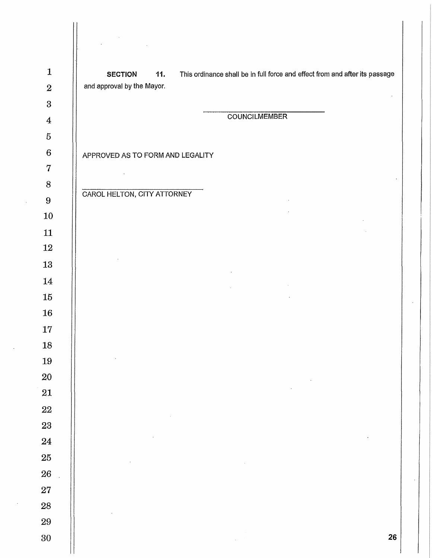| $\mathbf{1}$     | This ordinance shall be in full force and effect from and after its passage<br><b>SECTION</b><br>11.                                                              |
|------------------|-------------------------------------------------------------------------------------------------------------------------------------------------------------------|
| $\boldsymbol{2}$ | and approval by the Mayor.                                                                                                                                        |
| $\bf 3$          |                                                                                                                                                                   |
| $\boldsymbol{4}$ | <b>COUNCILMEMBER</b>                                                                                                                                              |
| $\bf 5$          |                                                                                                                                                                   |
| $\boldsymbol{6}$ | APPROVED AS TO FORM AND LEGALITY                                                                                                                                  |
| $\bf 7$          |                                                                                                                                                                   |
| $\, 8$           | CAROL HELTON, CITY ATTORNEY                                                                                                                                       |
| $9\phantom{.}$   |                                                                                                                                                                   |
| 10               |                                                                                                                                                                   |
| 11               |                                                                                                                                                                   |
| 12               |                                                                                                                                                                   |
| 13               |                                                                                                                                                                   |
| 14               | $\label{eq:2.1} \mathcal{L}_{\mathcal{A}}(x,y) = \mathcal{L}_{\mathcal{A}}(x,y) + \mathcal{L}_{\mathcal{A}}(x,y) + \mathcal{L}_{\mathcal{A}}(x,y)$<br>$\sim 10^7$ |
| 15               |                                                                                                                                                                   |
| 16               |                                                                                                                                                                   |
| 17               |                                                                                                                                                                   |
| 18<br>19         |                                                                                                                                                                   |
| 20               |                                                                                                                                                                   |
| 21               |                                                                                                                                                                   |
| $22\,$           |                                                                                                                                                                   |
| $\bf 23$         |                                                                                                                                                                   |
| 24               |                                                                                                                                                                   |
| ${\bf 25}$       |                                                                                                                                                                   |
| 26               |                                                                                                                                                                   |
| ${\bf 27}$       |                                                                                                                                                                   |
| ${\bf 28}$       |                                                                                                                                                                   |
| 29               |                                                                                                                                                                   |
| $30\,$           | 26                                                                                                                                                                |
|                  |                                                                                                                                                                   |

 $\ddot{\phantom{0}}$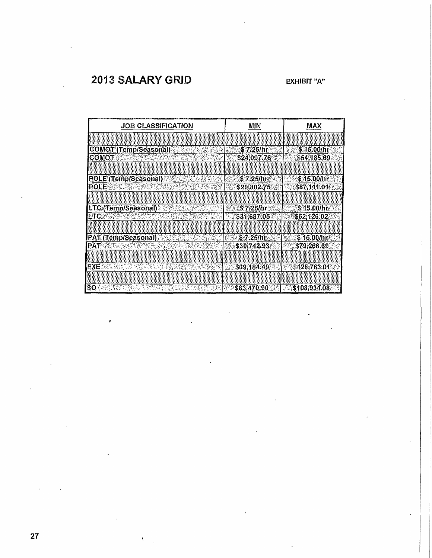# **2013 SALARY GRID EXHIBIT "A'**

| <b>JOB CLASSIFICATION</b>    | MIN         | MAX          |  |  |
|------------------------------|-------------|--------------|--|--|
|                              |             |              |  |  |
| <b>COMOT (Temp/Seasonal)</b> | \$ 7.25/hr  | \$15.00/hr   |  |  |
| COMOT                        | \$24,097.76 | \$54,185.69  |  |  |
|                              |             |              |  |  |
| <b>POLE (Temp/Seasonal)</b>  | \$7.25/hr   | \$15,00/hr   |  |  |
| <b>POLE</b>                  | \$29,802.75 | \$87,111.01  |  |  |
|                              |             |              |  |  |
| LTC (Temp/Seasonal)          | \$7.25/hr   | \$15.00/hr   |  |  |
| LTC                          | \$31,687.05 | \$62,126.02  |  |  |
|                              |             |              |  |  |
| <b>PAT (Temp/Seasonal)</b>   | \$7.25/hr   | \$15.00/hr   |  |  |
| <b>PAT</b>                   | \$30,742.93 | \$79,266.69  |  |  |
|                              |             |              |  |  |
| <b>EXE</b>                   | \$69,184.49 | \$128,763.01 |  |  |
|                              |             |              |  |  |
| SO.                          | \$63,470,90 | \$108,934,08 |  |  |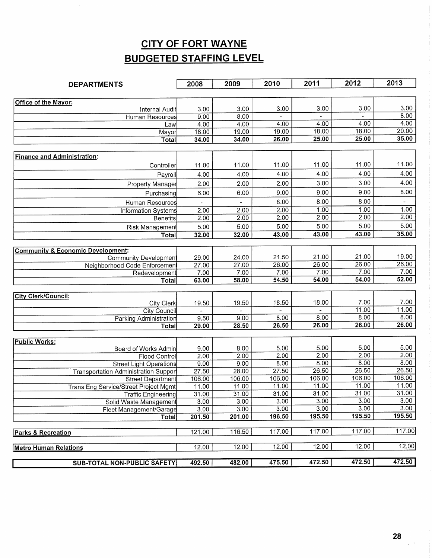# **CITY OF FORT WAYNE BUDGETED STAFFING LEVEL**

| <b>DEPARTMENTS</b>                                                | 2008            | 2009           | 2010          | 2011          | 2012          | 2013          |
|-------------------------------------------------------------------|-----------------|----------------|---------------|---------------|---------------|---------------|
|                                                                   |                 |                |               |               |               |               |
| Office of the Mayor:                                              |                 |                |               |               |               |               |
| Internal Audit                                                    | 3.00            | 3.00           | 3.00          | 3.00          | 3.00          | 3.00          |
| <b>Human Resources</b>                                            | 9.00            | 8.00           |               |               | 4.00          | 8.00<br>4.00  |
| Law                                                               | 4.00            | 4.00           | 4.00<br>19.00 | 4.00<br>18.00 | 18.00         | 20.00         |
| Mayor<br>Total                                                    | 18.00<br>34.00  | 19.00<br>34.00 | 26.00         | 25.00         | 25.00         | 35.00         |
|                                                                   |                 |                |               |               |               |               |
| <b>Finance and Administration:</b>                                |                 |                |               |               |               |               |
|                                                                   |                 | 11.00          | 11.00         | 11.00         | 11.00         | 11.00         |
| Controller                                                        | 11.00           |                |               |               |               |               |
| Payroll                                                           | 4.00            | 4.00           | 4.00          | 4.00          | 4.00          | 4.00          |
| Property Manager                                                  | 2.00            | 2.00           | 2.00          | 3.00          | 3.00          | 4.00          |
| Purchasing                                                        | 6.00            | 6.00           | 9.00          | 9.00          | 9.00          | 8.00          |
| <b>Human Resources</b>                                            |                 |                | 8.00          | 8.00          | 8.00          |               |
| Information Systems                                               | 2.00            | 2.00           | 2.00          | 1.00          | 1.00          | 1.00          |
| <b>Benefits</b>                                                   | 2.00            | 2.00           | 2.00          | 2.00          | 2.00          | 2.00          |
| Risk Management                                                   | 5.00            | 5.00           | 5.00          | 5.00          | 5.00          | 5.00          |
| Total                                                             | 32.00           | 32.00          | 43.00         | 43.00         | 43.00         | 35.00         |
|                                                                   |                 |                |               |               |               |               |
| <b>Community &amp; Economic Development:</b>                      |                 |                |               |               |               |               |
| <b>Community Development</b>                                      | 29.00           | 24.00          | 21.50         | 21.00         | 21.00         | 19.00         |
| Neighborhood Code Enforcement                                     | 27.00           | 27.00          | 26.00         | 26.00         | 26.00<br>7.00 | 26.00<br>7.00 |
| Redevelopment                                                     | 7.00            | 7.00<br>58.00  | 7.00<br>54.50 | 7.00<br>54.00 | 54.00         | 52.00         |
| <b>Total</b>                                                      | 63.00           |                |               |               |               |               |
| <b>City Clerk/Council:</b>                                        |                 |                |               |               |               |               |
| City Clerk                                                        | 19.50           | 19.50          | 18.50         | 18.00         | 7.00          | 7.00          |
| <b>City Council</b>                                               |                 |                |               |               | 11.00         | 11.00         |
| Parking Administration                                            | 9.50            | 9.00           | 8.00          | 8.00          | 8.00          | 8.00          |
| Total                                                             | 29.00           | 28.50          | 26.50         | 26.00         | 26.00         | 26.00         |
|                                                                   |                 |                |               |               |               |               |
| <b>Public Works:</b>                                              |                 |                |               |               |               |               |
| Board of Works Admin                                              | 9.00            | 8.00           | 5.00          | 5.00          | 5.00          | 5.00          |
| <b>Flood Control</b>                                              | 2.00            | 2.00           | 2.00          | 2.00          | 2.00<br>8.00  | 2.00<br>8.00  |
| <b>Street Light Operations</b>                                    | 9.00            | 9.00<br>28.00  | 8.00<br>27.50 | 8.00<br>26.50 | 26.50         | 26.50         |
| <b>Transportation Administration Support</b><br>Street Department | 27.50<br>106.00 | 106.00         | 106.00        | 106.00        | 106.00        | 106.00        |
| <b>Trans Eng Service/Street Project Mgmt</b>                      | 11.00           | 11.00          | 11.00         | 11.00         | 11.00         | 11.00         |
| Traffic Engineering                                               | 31.00           | 31.00          | 31.00         | 31.00         | 31.00         | 31.00         |
| Solid Waste Management                                            | 3.00            | 3.00           | 3.00          | 3.00          | 3.00          | 3.00          |
| Fleet Management/Garage                                           | 3.00            | 3.00           | 3.00          | 3.00          | 3.00          | 3.00          |
| Total                                                             | 201.50          | 201.00         | 196.50        | 195.50        | 195.50        | 195.50        |
|                                                                   |                 |                |               |               |               |               |
| Parks & Recreation                                                | 121.00          | 116.50         | 117.00        | 117.00        | 117.00        | 117.00        |
|                                                                   |                 |                |               | 12.00         | 12.00         | 12.00         |
| <b>Metro Human Relations</b>                                      | 12.00           | 12.00          | 12.00         |               |               |               |
| <b>SUB-TOTAL NON-PUBLIC SAFETY</b>                                | 492.50          | 482.00         | 475.50        | 472.50        | 472.50        | 472.50        |

 $\frac{1}{2}$  -  $\frac{1}{2}$